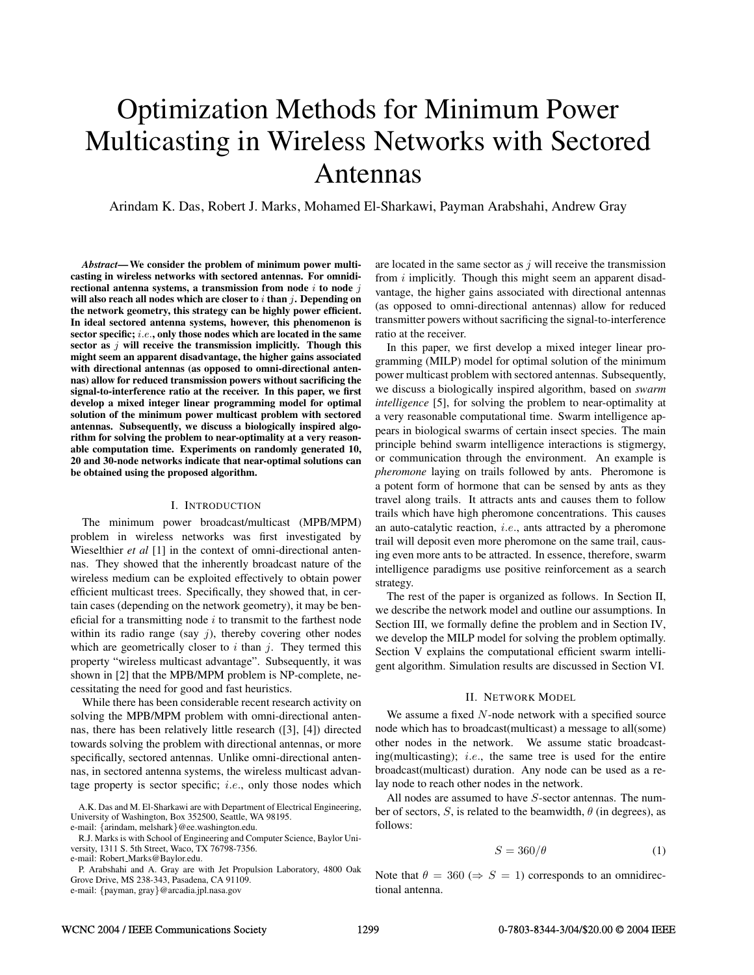# Optimization Methods for Minimum Power Multicasting in Wireless Networks with Sectored Antennas

Arindam K. Das, Robert J. Marks, Mohamed El-Sharkawi, Payman Arabshahi, Andrew Gray

*Abstract***— We consider the problem of minimum power multicasting in wireless networks with sectored antennas. For omnidirectional antenna systems, a transmission from node** i **to node** j **will also reach all nodes which are closer to** i **than** j**. Depending on the network geometry, this strategy can be highly power efficient. In ideal sectored antenna systems, however, this phenomenon is sector specific;** i.e.**, only those nodes which are located in the same sector as** j **will receive the transmission implicitly. Though this might seem an apparent disadvantage, the higher gains associated with directional antennas (as opposed to omni-directional antennas) allow for reduced transmission powers without sacrificing the signal-to-interference ratio at the receiver. In this paper, we first develop a mixed integer linear programming model for optimal solution of the minimum power multicast problem with sectored antennas. Subsequently, we discuss a biologically inspired algorithm for solving the problem to near-optimality at a very reasonable computation time. Experiments on randomly generated 10, 20 and 30-node networks indicate that near-optimal solutions can be obtained using the proposed algorithm.**

## I. INTRODUCTION

The minimum power broadcast/multicast (MPB/MPM) problem in wireless networks was first investigated by Wieselthier *et al* [1] in the context of omni-directional antennas. They showed that the inherently broadcast nature of the wireless medium can be exploited effectively to obtain power efficient multicast trees. Specifically, they showed that, in certain cases (depending on the network geometry), it may be beneficial for a transmitting node  $i$  to transmit to the farthest node within its radio range (say  $i$ ), thereby covering other nodes which are geometrically closer to  $i$  than  $j$ . They termed this property "wireless multicast advantage". Subsequently, it was shown in [2] that the MPB/MPM problem is NP-complete, necessitating the need for good and fast heuristics.

While there has been considerable recent research activity on solving the MPB/MPM problem with omni-directional antennas, there has been relatively little research ([3], [4]) directed towards solving the problem with directional antennas, or more specifically, sectored antennas. Unlike omni-directional antennas, in sectored antenna systems, the wireless multicast advantage property is sector specific; *i.e.*, only those nodes which

A.K. Das and M. El-Sharkawi are with Department of Electrical Engineering, University of Washington, Box 352500, Seattle, WA 98195.

e-mail: {arindam, melshark}@ee.washington.edu.

e-mail: Robert Marks@Baylor.edu.

P. Arabshahi and A. Gray are with Jet Propulsion Laboratory, 4800 Oak Grove Drive, MS 238-343, Pasadena, CA 91109. e-mail: {payman, gray}@arcadia.jpl.nasa.gov

are located in the same sector as  $j$  will receive the transmission from *i* implicitly. Though this might seem an apparent disadvantage, the higher gains associated with directional antennas (as opposed to omni-directional antennas) allow for reduced transmitter powers without sacrificing the signal-to-interference ratio at the receiver.

In this paper, we first develop a mixed integer linear programming (MILP) model for optimal solution of the minimum power multicast problem with sectored antennas. Subsequently, we discuss a biologically inspired algorithm, based on *swarm intelligence* [5], for solving the problem to near-optimality at a very reasonable computational time. Swarm intelligence appears in biological swarms of certain insect species. The main principle behind swarm intelligence interactions is stigmergy, or communication through the environment. An example is *pheromone* laying on trails followed by ants. Pheromone is a potent form of hormone that can be sensed by ants as they travel along trails. It attracts ants and causes them to follow trails which have high pheromone concentrations. This causes an auto-catalytic reaction, i.e., ants attracted by a pheromone trail will deposit even more pheromone on the same trail, causing even more ants to be attracted. In essence, therefore, swarm intelligence paradigms use positive reinforcement as a search strategy.

The rest of the paper is organized as follows. In Section II, we describe the network model and outline our assumptions. In Section III, we formally define the problem and in Section IV, we develop the MILP model for solving the problem optimally. Section V explains the computational efficient swarm intelligent algorithm. Simulation results are discussed in Section VI.

## II. NETWORK MODEL

We assume a fixed N-node network with a specified source node which has to broadcast(multicast) a message to all(some) other nodes in the network. We assume static broadcasting(multicasting); i.e., the same tree is used for the entire broadcast(multicast) duration. Any node can be used as a relay node to reach other nodes in the network.

All nodes are assumed to have S-sector antennas. The number of sectors, S, is related to the beamwidth,  $\theta$  (in degrees), as follows:

$$
S = 360/\theta \tag{1}
$$

Note that  $\theta = 360 \implies S = 1$  corresponds to an omnidirectional antenna.

R.J. Marks is with School of Engineering and Computer Science, Baylor University, 1311 S. 5th Street, Waco, TX 76798-7356.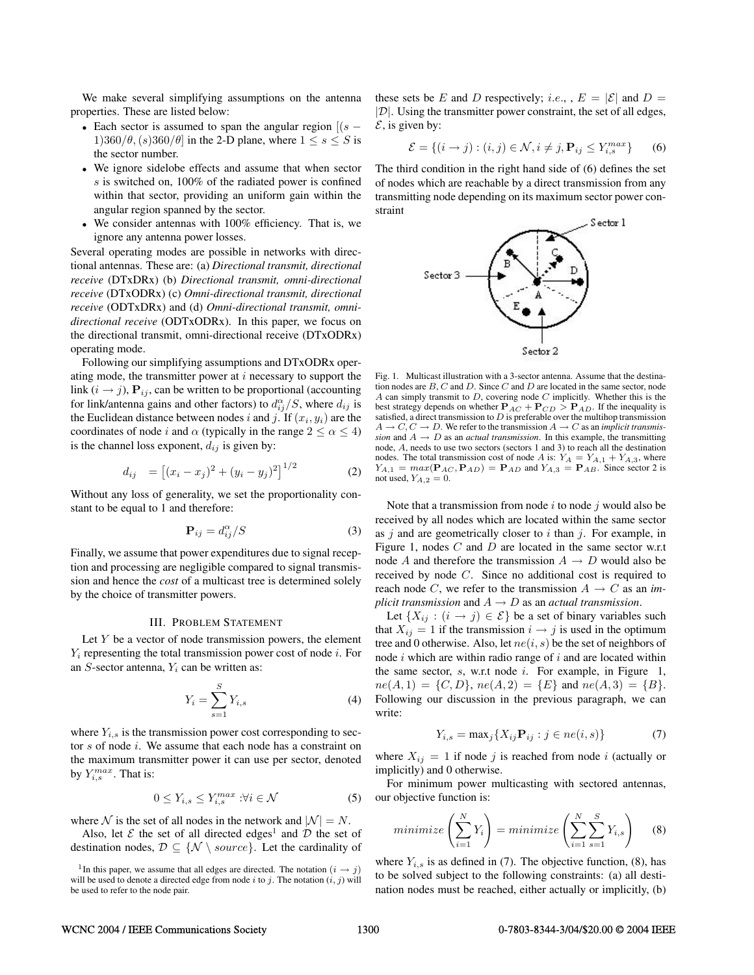We make several simplifying assumptions on the antenna properties. These are listed below:

- Each sector is assumed to span the angular region  $[(s -$ 1)360/ $\theta$ , (s)360/ $\theta$ ] in the 2-D plane, where  $1 \leq s \leq S$  is the sector number.
- We ignore sidelobe effects and assume that when sector s is switched on, 100% of the radiated power is confined within that sector, providing an uniform gain within the angular region spanned by the sector.
- We consider antennas with 100% efficiency. That is, we ignore any antenna power losses.

Several operating modes are possible in networks with directional antennas. These are: (a) *Directional transmit, directional receive* (DTxDRx) (b) *Directional transmit, omni-directional receive* (DTxODRx) (c) *Omni-directional transmit, directional receive* (ODTxDRx) and (d) *Omni-directional transmit, omnidirectional receive* (ODTxODRx). In this paper, we focus on the directional transmit, omni-directional receive (DTxODRx) operating mode.

Following our simplifying assumptions and DTxODRx operating mode, the transmitter power at  $i$  necessary to support the link  $(i \rightarrow j)$ ,  $P_{ij}$ , can be written to be proportional (accounting for link/antenna gains and other factors) to  $d_{ij}^{\alpha}/S$ , where  $d_{ij}$  is the Euclidean distance between nodes i and j. If  $(x_i, y_i)$  are the coordinates of node i and  $\alpha$  (typically in the range  $2 \leq \alpha \leq 4$ ) is the channel loss exponent,  $d_{ij}$  is given by:

$$
d_{ij} = [(x_i - x_j)^2 + (y_i - y_j)^2]^{1/2}
$$
 (2)

Without any loss of generality, we set the proportionality constant to be equal to 1 and therefore:

$$
\mathbf{P}_{ij} = d_{ij}^{\alpha} / S \tag{3}
$$

Finally, we assume that power expenditures due to signal reception and processing are negligible compared to signal transmission and hence the *cost* of a multicast tree is determined solely by the choice of transmitter powers.

#### III. PROBLEM STATEMENT

Let  $Y$  be a vector of node transmission powers, the element  $Y_i$  representing the total transmission power cost of node  $i$ . For an  $S$ -sector antenna,  $Y_i$  can be written as:

$$
Y_i = \sum_{s=1}^{S} Y_{i,s} \tag{4}
$$

where  $Y_{i,s}$  is the transmission power cost corresponding to sector s of node i. We assume that each node has a constraint on the maximum transmitter power it can use per sector, denoted by  $Y_{i,s}^{max}$ . That is:

$$
0 \le Y_{i,s} \le Y_{i,s}^{max} : \forall i \in \mathcal{N}
$$
 (5)

where N is the set of all nodes in the network and  $|N| = N$ .

Also, let  $\mathcal E$  the set of all directed edges<sup>1</sup> and  $\mathcal D$  the set of destination nodes,  $\mathcal{D} \subseteq \{ \mathcal{N} \setminus source \}$ . Let the cardinality of these sets be E and D respectively; *i.e.*,  $E = |\mathcal{E}|$  and  $D =$  $|\mathcal{D}|$ . Using the transmitter power constraint, the set of all edges,  $\mathcal{E}$ , is given by:

$$
\mathcal{E} = \{ (i \rightarrow j) : (i, j) \in \mathcal{N}, i \neq j, \mathbf{P}_{ij} \le Y_{i,s}^{max} \}
$$
 (6)

The third condition in the right hand side of (6) defines the set of nodes which are reachable by a direct transmission from any transmitting node depending on its maximum sector power constraint.



Fig. 1. Multicast illustration with a 3-sector antenna. Assume that the destination nodes are  $B$ ,  $C$  and  $D$ . Since  $C$  and  $D$  are located in the same sector, node A can simply transmit to  $D$ , covering node  $C$  implicitly. Whether this is the best strategy depends on whether  $P_{AC} + P_{CD} > P_{AD}$ . If the inequality is satisfied, a direct transmission to  $D$  is preferable over the multihop transmission  $A \to C, C \to D$ . We refer to the transmission  $A \to C$  as an *implicit transmission* and  $A \rightarrow D$  as an *actual transmission*. In this example, the transmitting node, A, needs to use two sectors (sectors 1 and 3) to reach all the destination nodes. The total transmission cost of node A is:  $Y_A = Y_{A,1} + Y_{A,3}$ , where  $Y_{A,1} = max(\mathbf{P}_{AC}, \mathbf{P}_{AD}) = \mathbf{P}_{AD}$  and  $Y_{A,3} = \mathbf{P}_{AB}$ . Since sector 2 is not used,  $Y_{A,2} = 0$ .

Note that a transmission from node  $i$  to node  $j$  would also be received by all nodes which are located within the same sector as  $j$  and are geometrically closer to  $i$  than  $j$ . For example, in Figure 1, nodes  $C$  and  $D$  are located in the same sector w.r.t node A and therefore the transmission  $A \rightarrow D$  would also be received by node C. Since no additional cost is required to reach node C, we refer to the transmission  $A \rightarrow C$  as an *implicit transmission* and  $A \rightarrow D$  as an *actual transmission*.

Let  $\{X_{ij} : (i \to j) \in \mathcal{E}\}\$  be a set of binary variables such that  $X_{ij} = 1$  if the transmission  $i \rightarrow j$  is used in the optimum tree and 0 otherwise. Also, let  $ne(i, s)$  be the set of neighbors of node  $i$  which are within radio range of  $i$  and are located within the same sector, s, w.r.t node i. For example, in Figure 1,  $ne(A, 1) = \{C, D\},\,ne(A, 2) = \{E\}$  and  $ne(A, 3) = \{B\}.$ Following our discussion in the previous paragraph, we can write:

$$
Y_{i,s} = \max_j \{ X_{ij} \mathbf{P}_{ij} : j \in ne(i,s) \}
$$
 (7)

where  $X_{ij} = 1$  if node j is reached from node i (actually or implicitly) and 0 otherwise.

For minimum power multicasting with sectored antennas, our objective function is:

$$
minimize \left(\sum_{i=1}^{N} Y_i\right) = minimize \left(\sum_{i=1}^{N} \sum_{s=1}^{S} Y_{i,s}\right) \tag{8}
$$

where  $Y_{i,s}$  is as defined in (7). The objective function, (8), has to be solved subject to the following constraints: (a) all destination nodes must be reached, either actually or implicitly, (b)

<sup>&</sup>lt;sup>1</sup>In this paper, we assume that all edges are directed. The notation  $(i \rightarrow j)$ will be used to denote a directed edge from node i to j. The notation  $(i, j)$  will be used to refer to the node pair.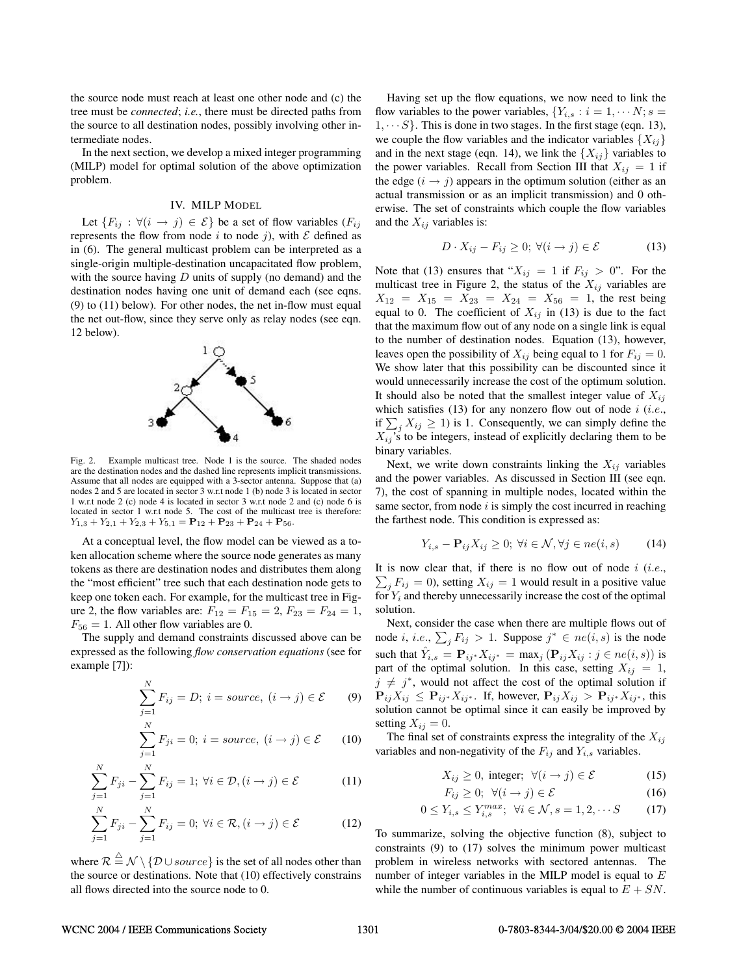the source node must reach at least one other node and (c) the tree must be *connected*; *i.e.*, there must be directed paths from the source to all destination nodes, possibly involving other intermediate nodes.

In the next section, we develop a mixed integer programming (MILP) model for optimal solution of the above optimization problem.

# IV. MILP MODEL

Let  ${F_{ij} : \forall (i \rightarrow j) \in \mathcal{E}}$  be a set of flow variables  $(F_{ij})$ represents the flow from node i to node j), with  $\mathcal E$  defined as in (6). The general multicast problem can be interpreted as a single-origin multiple-destination uncapacitated flow problem, with the source having  $D$  units of supply (no demand) and the destination nodes having one unit of demand each (see eqns. (9) to (11) below). For other nodes, the net in-flow must equal the net out-flow, since they serve only as relay nodes (see eqn. 12 below).



Fig. 2. Example multicast tree. Node 1 is the source. The shaded nodes are the destination nodes and the dashed line represents implicit transmissions. Assume that all nodes are equipped with a 3-sector antenna. Suppose that (a) nodes 2 and 5 are located in sector 3 w.r.t node 1 (b) node 3 is located in sector 1 w.r.t node 2 (c) node 4 is located in sector 3 w.r.t node 2 and (c) node 6 is located in sector 1 w.r.t node 5. The cost of the multicast tree is therefore:  $Y_{1,3} + Y_{2,1} + Y_{2,3} + Y_{5,1} = \mathbf{P}_{12} + \mathbf{P}_{23} + \mathbf{P}_{24} + \mathbf{P}_{56}.$ 

At a conceptual level, the flow model can be viewed as a token allocation scheme where the source node generates as many tokens as there are destination nodes and distributes them along the "most efficient" tree such that each destination node gets to keep one token each. For example, for the multicast tree in Figure 2, the flow variables are:  $F_{12} = F_{15} = 2, F_{23} = F_{24} = 1,$  $F_{56} = 1$ . All other flow variables are 0.

The supply and demand constraints discussed above can be expressed as the following *flow conservation equations* (see for example [7]):

$$
\sum_{j=1}^{N} F_{ij} = D; \ i = source, \ (i \rightarrow j) \in \mathcal{E} \tag{9}
$$

$$
\sum_{j=1}^{N} F_{ji} = 0; i = source, (i \rightarrow j) \in \mathcal{E}
$$
 (10)

$$
\sum_{j=1}^{N} F_{ji} - \sum_{j=1}^{N} F_{ij} = 1; \ \forall i \in \mathcal{D}, (i \to j) \in \mathcal{E}
$$
 (11)

$$
\sum_{j=1}^{N} F_{ji} - \sum_{j=1}^{N} F_{ij} = 0; \ \forall i \in \mathcal{R}, (i \to j) \in \mathcal{E}
$$
 (12)

where  $\mathcal{R} \stackrel{\triangle}{=} \mathcal{N} \setminus \{ \mathcal{D} \cup source \}$  is the set of all nodes other than the source or destinations. Note that (10) effectively constrains all flows directed into the source node to 0.

Having set up the flow equations, we now need to link the flow variables to the power variables,  $\{Y_{i,s} : i = 1, \cdots N; s = 1\}$  $1, \dots S$ . This is done in two stages. In the first stage (eqn. 13), we couple the flow variables and the indicator variables  $\{X_{ij}\}\$ and in the next stage (eqn. 14), we link the  $\{X_{ij}\}$  variables to the power variables. Recall from Section III that  $X_{ij} = 1$  if the edge  $(i \rightarrow j)$  appears in the optimum solution (either as an actual transmission or as an implicit transmission) and 0 otherwise. The set of constraints which couple the flow variables and the  $X_{ij}$  variables is:

$$
D \cdot X_{ij} - F_{ij} \ge 0; \ \forall (i \to j) \in \mathcal{E}
$$
 (13)

Note that (13) ensures that " $X_{ij} = 1$  if  $F_{ij} > 0$ ". For the multicast tree in Figure 2, the status of the  $X_{ij}$  variables are  $X_{12} = X_{15} = X_{23} = X_{24} = X_{56} = 1$ , the rest being equal to 0. The coefficient of  $X_{ij}$  in (13) is due to the fact that the maximum flow out of any node on a single link is equal to the number of destination nodes. Equation (13), however, leaves open the possibility of  $X_{ij}$  being equal to 1 for  $F_{ij} = 0$ . We show later that this possibility can be discounted since it would unnecessarily increase the cost of the optimum solution. It should also be noted that the smallest integer value of  $X_{ij}$ which satisfies (13) for any nonzero flow out of node  $i$  (*i.e.*, if  $\sum_j X_{ij} \ge 1$ ) is 1. Consequently, we can simply define the  $X_{ij}$ 's to be integers, instead of explicitly declaring them to be binary variables.

Next, we write down constraints linking the  $X_{ij}$  variables and the power variables. As discussed in Section III (see eqn. 7), the cost of spanning in multiple nodes, located within the same sector, from node  $i$  is simply the cost incurred in reaching the farthest node. This condition is expressed as:

$$
Y_{i,s} - \mathbf{P}_{ij} X_{ij} \ge 0; \ \forall i \in \mathcal{N}, \forall j \in ne(i,s) \tag{14}
$$

 $\sum_j F_{ij} = 0$ , setting  $X_{ij} = 1$  would result in a positive value It is now clear that, if there is no flow out of node  $i$  (*i.e.*, for  $Y_i$  and thereby unnecessarily increase the cost of the optimal solution.

Next, consider the case when there are multiple flows out of node *i*, *i.e.*,  $\sum_{j} F_{ij} > 1$ . Suppose  $j^* \in ne(i, s)$  is the node such that  $\hat{Y}_{i,s} = \mathbf{P}_{ij} * X_{ij} * = \max_j (\mathbf{P}_{ij} X_{ij} : j \in ne(i, s))$  is part of the optimal solution. In this case, setting  $X_{ij} = 1$ ,  $j \neq j^*$ , would not affect the cost of the optimal solution if **P**<sub>ij</sub>X<sub>ij</sub> ≤ **P**<sub>ij<sup>∗</sup>X<sub>ij<sup>∗</sup></sub>. If, however,  $P_{ij}X_{ij} > P_{ij} * X_{ij} *$ , this</sub> solution cannot be optimal since it can easily be improved by setting  $X_{ij} = 0$ .

The final set of constraints express the integrality of the  $X_{ij}$ variables and non-negativity of the  $F_{ij}$  and  $Y_{i,s}$  variables.

$$
X_{ij} \ge 0, \text{ integer}; \ \forall (i \to j) \in \mathcal{E} \tag{15}
$$

$$
F_{ij} \ge 0; \ \forall (i \to j) \in \mathcal{E} \tag{16}
$$

$$
0 \le Y_{i,s} \le Y_{i,s}^{max}; \ \forall i \in \mathcal{N}, s = 1, 2, \cdots S \tag{17}
$$

To summarize, solving the objective function (8), subject to constraints (9) to (17) solves the minimum power multicast problem in wireless networks with sectored antennas. The number of integer variables in the MILP model is equal to  $E$ while the number of continuous variables is equal to  $E + SN$ .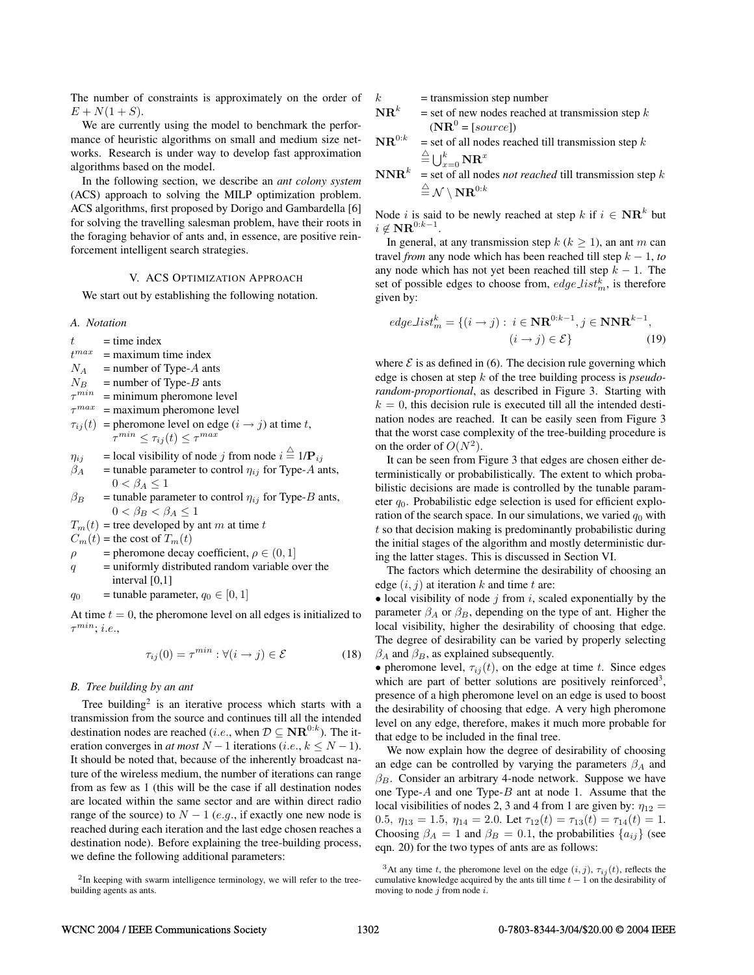The number of constraints is approximately on the order of  $E + N(1 + S)$ .

We are currently using the model to benchmark the performance of heuristic algorithms on small and medium size networks. Research is under way to develop fast approximation algorithms based on the model.

In the following section, we describe an *ant colony system* (ACS) approach to solving the MILP optimization problem. ACS algorithms, first proposed by Dorigo and Gambardella [6] for solving the travelling salesman problem, have their roots in the foraging behavior of ants and, in essence, are positive reinforcement intelligent search strategies.

# V. ACS OPTIMIZATION APPROACH

We start out by establishing the following notation.

## *A. Notation*

- $t =$  time index
- $t^{max}$  $=$  maximum time index
- $N_A$  = number of Type-A ants
- $N_B$  = number of Type-B ants
- $\tau^{min}$  = minimum pheromone level
- $\tau^{max}$  = maximum pheromone level
- $\tau_{ii}(t)$  = pheromone level on edge  $(i \rightarrow j)$  at time t,  $\tau^{min} \leq \tau_{ij}(t) \leq \tau^{max}$
- $\eta_{ij}$  = local visibility of node j from node  $i \stackrel{\triangle}{=} 1/\mathbf{P}_{ij}$
- $\beta_A$  = tunable parameter to control  $\eta_{ij}$  for Type-A ants,  $0 < \beta_A \leq 1$
- $\beta_B$  = tunable parameter to control  $\eta_{ij}$  for Type-B ants,  $0 < \beta_B < \beta_A \leq 1$
- $T_m(t)$  = tree developed by ant m at time t
- $C_m(t)$  = the cost of  $T_m(t)$
- $\rho$  = pheromone decay coefficient,  $\rho \in (0, 1]$
- $q$  = uniformly distributed random variable over the interval [0,1]
- $q_0$  = tunable parameter,  $q_0 \in [0, 1]$

At time  $t = 0$ , the pheromone level on all edges is initialized to  $\tau^{min}$ ; *i.e.*,

$$
\tau_{ij}(0) = \tau^{min} : \forall (i \to j) \in \mathcal{E}
$$
 (18)

### *B. Tree building by an ant*

Tree building<sup>2</sup> is an iterative process which starts with a transmission from the source and continues till all the intended destination nodes are reached (*i.e.*, when  $D \subseteq \mathbf{NR}^{0:k}$ ). The iteration converges in *at most*  $N - 1$  iterations (*i.e.*,  $k \le N - 1$ ). It should be noted that, because of the inherently broadcast nature of the wireless medium, the number of iterations can range from as few as 1 (this will be the case if all destination nodes are located within the same sector and are within direct radio range of the source) to  $N - 1$  (e.g., if exactly one new node is reached during each iteration and the last edge chosen reaches a destination node). Before explaining the tree-building process, we define the following additional parameters:

$$
k = \text{transmission step number}
$$

- $\mathbf{NR}^k$  = set of new nodes reached at transmission step k  $(NR^0 = [source])$
- $\mathbf{NR}^{0:k}$  = set of all nodes reached till transmission step k  $\stackrel{\triangle}{=} \bigcup_{x=0}^k \mathbf{NR}^x$
- **NNR**<sup>k</sup> = set of all nodes *not reached* till transmission step k  $\stackrel{\triangle}{=} \mathcal{N} \setminus \mathbf{NR}^{0:k}$

Node *i* is said to be newly reached at step  $k$  if  $i \in \mathbf{NR}^k$  but  $i \notin \mathbf{NR}^{0:k-1}.$ 

In general, at any transmission step  $k$  ( $k \ge 1$ ), an ant m can travel *from* any node which has been reached till step  $k - 1$ , *to* any node which has not yet been reached till step  $k - 1$ . The set of possible edges to choose from,  $edge\_list_m^k$ , is therefore given by:

$$
edgeList_m^k = \{ (i \to j) : i \in \mathbf{NR}^{0:k-1}, j \in \mathbf{NNR}^{k-1}, \quad (i \to j) \in \mathcal{E} \}
$$
(19)

where  $\mathcal E$  is as defined in (6). The decision rule governing which edge is chosen at step k of the tree building process is *pseudorandom-proportional*, as described in Figure 3. Starting with  $k = 0$ , this decision rule is executed till all the intended destination nodes are reached. It can be easily seen from Figure 3 that the worst case complexity of the tree-building procedure is on the order of  $O(N^2)$ .

It can be seen from Figure 3 that edges are chosen either deterministically or probabilistically. The extent to which probabilistic decisions are made is controlled by the tunable parameter  $q_0$ . Probabilistic edge selection is used for efficient exploration of the search space. In our simulations, we varied  $q_0$  with  $t$  so that decision making is predominantly probabilistic during the initial stages of the algorithm and mostly deterministic during the latter stages. This is discussed in Section VI.

The factors which determine the desirability of choosing an edge  $(i, j)$  at iteration k and time t are:

• local visibility of node  $j$  from  $i$ , scaled exponentially by the parameter  $\beta_A$  or  $\beta_B$ , depending on the type of ant. Higher the local visibility, higher the desirability of choosing that edge. The degree of desirability can be varied by properly selecting  $\beta_A$  and  $\beta_B$ , as explained subsequently.

• pheromone level,  $\tau_{ij}(t)$ , on the edge at time t. Since edges which are part of better solutions are positively reinforced<sup>3</sup>, presence of a high pheromone level on an edge is used to boost the desirability of choosing that edge. A very high pheromone level on any edge, therefore, makes it much more probable for that edge to be included in the final tree.

We now explain how the degree of desirability of choosing an edge can be controlled by varying the parameters  $\beta_A$  and  $\beta_B$ . Consider an arbitrary 4-node network. Suppose we have one Type-A and one Type-B ant at node 1. Assume that the local visibilities of nodes 2, 3 and 4 from 1 are given by:  $\eta_{12}$  = 0.5,  $\eta_{13} = 1.5$ ,  $\eta_{14} = 2.0$ . Let  $\tau_{12}(t) = \tau_{13}(t) = \tau_{14}(t) = 1$ . Choosing  $\beta_A = 1$  and  $\beta_B = 0.1$ , the probabilities  $\{a_{ij}\}\$  (see eqn. 20) for the two types of ants are as follows:

<sup>&</sup>lt;sup>2</sup>In keeping with swarm intelligence terminology, we will refer to the treebuilding agents as ants.

<sup>&</sup>lt;sup>3</sup>At any time t, the pheromone level on the edge  $(i, j)$ ,  $\tau_{ij}(t)$ , reflects the cumulative knowledge acquired by the ants till time  $t - 1$  on the desirability of moving to node  $i$  from node  $i$ .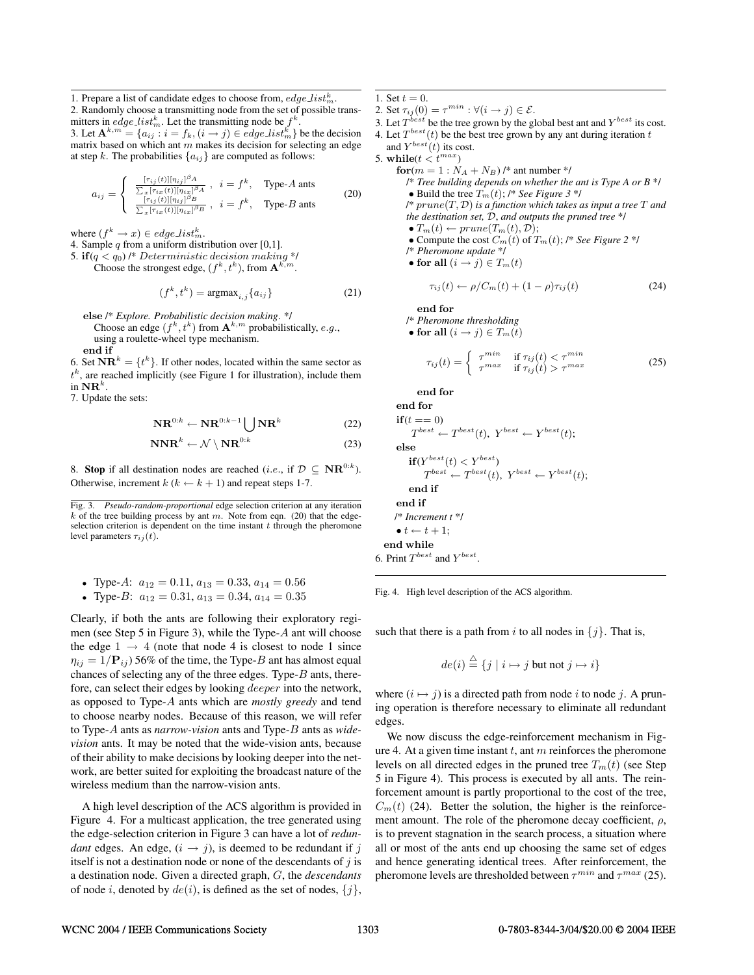1. Prepare a list of candidate edges to choose from,  $edge\_list_m^k$ .

2. Randomly choose a transmitting node from the set of possible transmitters in *edge list*<sup>k</sup><sub>m</sub>. Let the transmitting node be  $f^k$ . 3. Let  $\mathbf{A}^{k,m} = \{a_{ij} : i = f_k, (i \rightarrow j) \in edge\_list_m^k\}$  be the decision

matrix based on which ant  $m$  makes its decision for selecting an edge at step k. The probabilities  $\{a_{ij}\}$  are computed as follows:

$$
a_{ij} = \begin{cases} \frac{[\tau_{ij}(t)][n_{ij}]^{\beta_A}}{\sum_x [\tau_{ix}(t)][n_{ix}]^{\beta_B}}, & i = f^k, \quad \text{Type-}A \text{ and } \\ \frac{[\tau_{ij}(t)][n_{ij}]^{\beta_B}}{\sum_x [\tau_{ix}(t)][n_{ix}]^{\beta_B}}, & i = f^k, \quad \text{Type-}B \text{ and } \end{cases} \tag{20}
$$

where  $(f^k \to x) \in edge\_list_m^k$ .

4. Sample  $q$  from a uniform distribution over [0,1].

5. **if** $(q < q_0)$  /\* Deterministic decision making \*/

Choose the strongest edge,  $(f^k, t^k)$ , from  $\mathbf{A}^{k,m}$ .

$$
(f^k, t^k) = \operatorname{argmax}_{i,j} \{a_{ij}\}
$$
 (21)

- **else** /\* *Explore. Probabilistic decision making*. \*/ Choose an edge  $(f^k, t^k)$  from  $\mathbf{A}^{k,m}$  probabilistically, e.g., using a roulette-wheel type mechanism. **end if**
- 6. Set  $\mathbf{NR}^k = \{t^k\}$ . If other nodes, located within the same sector as  $t<sup>k</sup>$ , are reached implicitly (see Figure 1 for illustration), include them in  $\mathbf{NR}^k$ .

7. Update the sets:

$$
\mathbf{NR}^{0:k} \leftarrow \mathbf{NR}^{0:k-1} \bigcup \mathbf{NR}^k
$$
 (22)

$$
\mathbf{NNR}^k \leftarrow \mathcal{N} \setminus \mathbf{NR}^{0:k} \tag{23}
$$

8. **Stop** if all destination nodes are reached (*i.e.*, if  $D \subseteq \mathbf{NR}^{0:k}$ ). Otherwise, increment  $k (k \leftarrow k + 1)$  and repeat steps 1-7.

• Type-A: 
$$
a_{12} = 0.11, a_{13} = 0.33, a_{14} = 0.56
$$

• Type-*B*: 
$$
a_{12} = 0.31, a_{13} = 0.34, a_{14} = 0.35
$$

Clearly, if both the ants are following their exploratory regimen (see Step 5 in Figure 3), while the Type-A ant will choose the edge  $1 \rightarrow 4$  (note that node 4 is closest to node 1 since  $\eta_{ij} = 1/\mathbf{P}_{ij}$  ) 56% of the time, the Type-B ant has almost equal chances of selecting any of the three edges. Type-B ants, therefore, can select their edges by looking deeper into the network, as opposed to Type-A ants which are *mostly greedy* and tend to choose nearby nodes. Because of this reason, we will refer to Type-A ants as *narrow-vision* ants and Type-B ants as *widevision* ants. It may be noted that the wide-vision ants, because of their ability to make decisions by looking deeper into the network, are better suited for exploiting the broadcast nature of the wireless medium than the narrow-vision ants.

A high level description of the ACS algorithm is provided in Figure 4. For a multicast application, the tree generated using the edge-selection criterion in Figure 3 can have a lot of *redundant* edges. An edge,  $(i \rightarrow j)$ , is deemed to be redundant if j itself is not a destination node or none of the descendants of  $i$  is a destination node. Given a directed graph, G, the *descendants* of node i, denoted by  $de(i)$ , is defined as the set of nodes,  $\{j\}$ ,

- 1. Set  $t = 0$ .
- 2. Set  $\tau_{ii}(0) = \tau^{min} : \forall (i \rightarrow j) \in \mathcal{E}$ .
- 3. Let  $T^{best}$  be the tree grown by the global best ant and  $Y^{best}$  its cost.
- 4. Let  $T^{best}(t)$  be the best tree grown by any ant during iteration t and  $Y^{best}(t)$  its cost.

5. while( $t < t^{max}$ )

**for**( $m = 1: N_A + N_B$ ) /\* ant number \*/ /\* *Tree building depends on whether the ant is Type A or B* \*/ • Build the tree  $T_m(t)$ ; /\* See Figure 3 \*/ /\* prune(T, D) *is a function which takes as input a tree* T *and the destination set,* D, *and outputs the pruned tree* \*/

•  $T_m(t) \leftarrow prune(T_m(t), \mathcal{D});$ 

• Compute the cost  $C_m(t)$  of  $T_m(t)$ ; /\* See Figure 2 \*/

$$
/*
$$
 *Pheromone update*  $*/$ 

• for all 
$$
(i \rightarrow j) \in T_m(t)
$$

$$
\tau_{ij}(t) \leftarrow \rho/C_m(t) + (1 - \rho)\tau_{ij}(t) \tag{24}
$$

**end for**

/\* *Pheromone thresholding*

• for all  $(i \rightarrow j) \in T_m(i)$ 

$$
\tau_{ij}(t) = \begin{cases}\n\tau_{max}^{min} & \text{if } \tau_{ij}(t) < \tau_{max}^{min} \\
\tau_{max} & \text{if } \tau_{ij}(t) > \tau_{max}\n\end{cases}
$$
\n(25)

**end for**

end for  
\n
$$
\text{if}(t == 0)
$$
\n
$$
T^{best} \leftarrow T^{best}(t), Y^{best} \leftarrow Y^{best}(t);
$$
\nelse  
\n
$$
\text{if}(Y^{best}(t) < Y^{best})
$$
\n
$$
T^{best} \leftarrow T^{best}(t), Y^{best} \leftarrow Y^{best}(t);
$$
\nend if  
\nend if  
\n
$$
f^* \text{Increment } t * f
$$
\n•  $t \leftarrow t + 1;$ \nend while  
\n6. Print  $T^{best}$  and  $Y^{best}$ .

Fig. 4. High level description of the ACS algorithm.

such that there is a path from i to all nodes in  $\{j\}$ . That is,

$$
de(i) \stackrel{\triangle}{=} \{ j \mid i \mapsto j \text{ but not } j \mapsto i \}
$$

where  $(i \mapsto j)$  is a directed path from node i to node j. A pruning operation is therefore necessary to eliminate all redundant edges.

We now discuss the edge-reinforcement mechanism in Figure 4. At a given time instant  $t$ , ant  $m$  reinforces the pheromone levels on all directed edges in the pruned tree  $T_m(t)$  (see Step 5 in Figure 4). This process is executed by all ants. The reinforcement amount is partly proportional to the cost of the tree,  $C_m(t)$  (24). Better the solution, the higher is the reinforcement amount. The role of the pheromone decay coefficient,  $\rho$ , is to prevent stagnation in the search process, a situation where all or most of the ants end up choosing the same set of edges and hence generating identical trees. After reinforcement, the pheromone levels are thresholded between  $\tau^{min}$  and  $\tau^{max}$  (25).

Fig. 3. *Pseudo-random-proportional* edge selection criterion at any iteration  $k$  of the tree building process by ant  $m$ . Note from eqn. (20) that the edgeselection criterion is dependent on the time instant  $t$  through the pheromone level parameters  $\tau_{ij}(t)$ .